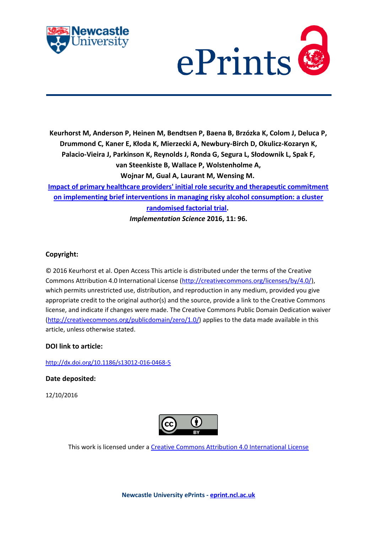



**Keurhorst M, Anderson P, Heinen M, Bendtsen P, Baena B, Brzózka K, Colom J, Deluca P, Drummond C, Kaner E, Kłoda K, Mierzecki A, Newbury-Birch D, Okulicz-Kozaryn K, Palacio-Vieira J, Parkinson K, Reynolds J, Ronda G, Segura L, Słodownik L, Spak F, van Steenkiste B, Wallace P, Wolstenholme A, Wojnar M, Gual A, Laurant M, Wensing M. [Impact of primary healthcare providers' initial role security and therapeutic commitment](javascript:ViewPublication(228180);)  [on implementing brief interventions in managing risky alcohol consumption: a cluster](javascript:ViewPublication(228180);)** 

**[randomised factorial trial.](javascript:ViewPublication(228180);)**

*Implementation Science* **2016, 11: 96.**

# **Copyright:**

© 2016 Keurhorst et al. Open Access This article is distributed under the terms of the Creative Commons Attribution 4.0 International License [\(http://creativecommons.org/licenses/by/4.0/\)](http://creativecommons.org/licenses/by/4.0/), which permits unrestricted use, distribution, and reproduction in any medium, provided you give appropriate credit to the original author(s) and the source, provide a link to the Creative Commons license, and indicate if changes were made. The Creative Commons Public Domain Dedication waiver [\(http://creativecommons.org/publicdomain/zero/1.0/\)](http://creativecommons.org/publicdomain/zero/1.0/) applies to the data made available in this article, unless otherwise stated.

# **DOI link to article:**

<http://dx.doi.org/10.1186/s13012-016-0468-5>

# **Date deposited:**

12/10/2016



This work is licensed under [a Creative Commons Attribution 4.0 International License](http://creativecommons.org/licenses/by/4.0/)

**Newcastle University ePrints - [eprint.ncl.ac.uk](http://eprint.ncl.ac.uk/)**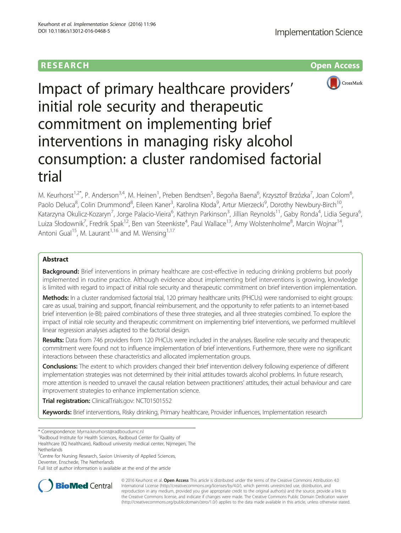# **RESEARCH CHINESE ARCH CHINESE ARCHITECT ARCHITECT ARCHITECT ARCHITECT ARCHITECT ARCHITECT ARCHITECT ARCHITECT ARCHITECT ARCHITECT ARCHITECT ARCHITECT ARCHITECT ARCHITECT ARCHITECT ARCHITECT ARCHITECT ARCHITECT ARCHITE**



# Impact of primary healthcare providers' initial role security and therapeutic commitment on implementing brief interventions in managing risky alcohol consumption: a cluster randomised factorial trial

M. Keurhorst<sup>1,2\*</sup>, P. Anderson<sup>3,4</sup>, M. Heinen<sup>1</sup>, Preben Bendtsen<sup>5</sup>, Begoña Baena<sup>6</sup>, Krzysztof Brzózka<sup>7</sup>, Joan Colom<sup>6</sup> , Paolo Deluca<sup>8</sup>, Colin Drummond<sup>8</sup>, Eileen Kaner<sup>3</sup>, Karolina Kłoda<sup>9</sup>, Artur Mierzecki<sup>9</sup>, Dorothy Newbury-Birch<sup>10</sup>, Katarzyna Okulicz-Kozaryn<sup>7</sup>, Jorge Palacio-Vieira<sup>6</sup>, Kathryn Parkinson<sup>3</sup>, Jillian Reynolds<sup>11</sup>, Gaby Ronda<sup>4</sup>, Lidia Segura<sup>6</sup> , Luiza Słodownik<sup>7</sup>, Fredrik Spak<sup>12</sup>, Ben van Steenkiste<sup>4</sup>, Paul Wallace<sup>13</sup>, Amy Wolstenholme<sup>8</sup>, Marcin Wojnar<sup>14</sup>, Antoni Gual<sup>15</sup>, M. Laurant<sup>1,16</sup> and M. Wensing<sup>1,17</sup>

# Abstract

**Background:** Brief interventions in primary healthcare are cost-effective in reducing drinking problems but poorly implemented in routine practice. Although evidence about implementing brief interventions is growing, knowledge is limited with regard to impact of initial role security and therapeutic commitment on brief intervention implementation.

Methods: In a cluster randomised factorial trial, 120 primary healthcare units (PHCUs) were randomised to eight groups: care as usual, training and support, financial reimbursement, and the opportunity to refer patients to an internet-based brief intervention (e-BI); paired combinations of these three strategies, and all three strategies combined. To explore the impact of initial role security and therapeutic commitment on implementing brief interventions, we performed multilevel linear regression analyses adapted to the factorial design.

Results: Data from 746 providers from 120 PHCUs were included in the analyses. Baseline role security and therapeutic commitment were found not to influence implementation of brief interventions. Furthermore, there were no significant interactions between these characteristics and allocated implementation groups.

Conclusions: The extent to which providers changed their brief intervention delivery following experience of different implementation strategies was not determined by their initial attitudes towards alcohol problems. In future research, more attention is needed to unravel the causal relation between practitioners' attitudes, their actual behaviour and care improvement strategies to enhance implementation science.

Trial registration: ClinicalTrials.gov: [NCT01501552](https://clinicaltrials.gov/show/NCT01501552)

Keywords: Brief interventions, Risky drinking, Primary healthcare, Provider influences, Implementation research

\* Correspondence: [Myrna.keurhorst@radboudumc.nl](mailto:Myrna.keurhorst@radboudumc.nl) <sup>1</sup>

Healthcare (IQ healthcare), Radboud university medical center, Nijmegen, The Netherlands

<sup>2</sup> Centre for Nursing Research, Saxion University of Applied Sciences, Deventer, Enschede, The Netherlands

Full list of author information is available at the end of the article



© 2016 Keurhorst et al. Open Access This article is distributed under the terms of the Creative Commons Attribution 4.0 International License [\(http://creativecommons.org/licenses/by/4.0/](http://creativecommons.org/licenses/by/4.0/)), which permits unrestricted use, distribution, and reproduction in any medium, provided you give appropriate credit to the original author(s) and the source, provide a link to the Creative Commons license, and indicate if changes were made. The Creative Commons Public Domain Dedication waiver [\(http://creativecommons.org/publicdomain/zero/1.0/](http://creativecommons.org/publicdomain/zero/1.0/)) applies to the data made available in this article, unless otherwise stated.

<sup>&</sup>lt;sup>1</sup>Radboud Institute for Health Sciences, Radboud Center for Quality of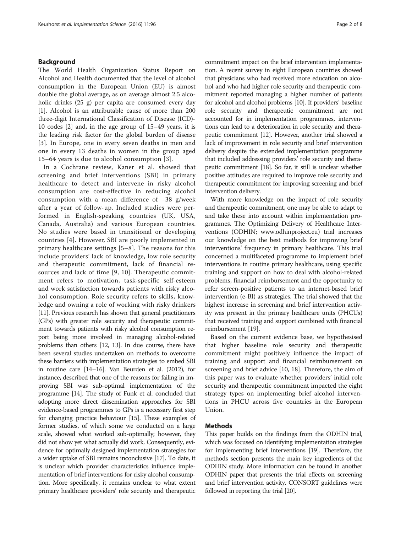## Background

The World Health Organization Status Report on Alcohol and Health documented that the level of alcohol consumption in the European Union (EU) is almost double the global average, as on average almost 2.5 alcoholic drinks (25 g) per capita are consumed every day [[1\]](#page-8-0). Alcohol is an attributable cause of more than 200 three-digit International Classification of Disease (ICD)- 10 codes [\[2](#page-8-0)] and, in the age group of 15–49 years, it is the leading risk factor for the global burden of disease [[3](#page-8-0)]. In Europe, one in every seven deaths in men and one in every 13 deaths in women in the group aged 15–64 years is due to alcohol consumption [\[3](#page-8-0)].

In a Cochrane review, Kaner et al. showed that screening and brief interventions (SBI) in primary healthcare to detect and intervene in risky alcohol consumption are cost-effective in reducing alcohol consumption with a mean difference of −38 g/week after a year of follow-up. Included studies were performed in English-speaking countries (UK, USA, Canada, Australia) and various European countries. No studies were based in transitional or developing countries [[4\]](#page-8-0). However, SBI are poorly implemented in primary healthcare settings [\[5](#page-8-0)–[8\]](#page-8-0). The reasons for this include providers' lack of knowledge, low role security and therapeutic commitment, lack of financial resources and lack of time [\[9](#page-8-0), [10](#page-8-0)]. Therapeutic commitment refers to motivation, task-specific self-esteem and work satisfaction towards patients with risky alcohol consumption. Role security refers to skills, knowledge and owning a role of working with risky drinkers [[11](#page-8-0)]. Previous research has shown that general practitioners (GPs) with greater role security and therapeutic commitment towards patients with risky alcohol consumption report being more involved in managing alcohol-related problems than others [\[12](#page-8-0), [13\]](#page-8-0). In due course, there have been several studies undertaken on methods to overcome these barriers with implementation strategies to embed SBI in routine care [[14](#page-8-0)–[16](#page-8-0)]. Van Beurden et al. (2012), for instance, described that one of the reasons for failing in improving SBI was sub-optimal implementation of the programme [\[14\]](#page-8-0). The study of Funk et al. concluded that adopting more direct dissemination approaches for SBI evidence-based programmes to GPs is a necessary first step for changing practice behaviour [[15\]](#page-8-0). These examples of former studies, of which some we conducted on a large scale, showed what worked sub-optimally; however, they did not show yet what actually did work. Consequently, evidence for optimally designed implementation strategies for a wider uptake of SBI remains inconclusive [\[17\]](#page-8-0). To date, it is unclear which provider characteristics influence implementation of brief interventions for risky alcohol consumption. More specifically, it remains unclear to what extent primary healthcare providers' role security and therapeutic commitment impact on the brief intervention implementation. A recent survey in eight European countries showed that physicians who had received more education on alcohol and who had higher role security and therapeutic commitment reported managing a higher number of patients for alcohol and alcohol problems [\[10\]](#page-8-0). If providers' baseline role security and therapeutic commitment are not accounted for in implementation programmes, interventions can lead to a deterioration in role security and therapeutic commitment [\[12](#page-8-0)]. However, another trial showed a lack of improvement in role security and brief intervention delivery despite the extended implementation programme that included addressing providers' role security and therapeutic commitment [\[18\]](#page-8-0). So far, it still is unclear whether positive attitudes are required to improve role security and therapeutic commitment for improving screening and brief intervention delivery.

With more knowledge on the impact of role security and therapeutic commitment, one may be able to adapt to and take these into account within implementation programmes. The Optimizing Delivery of Healthcare Interventions (ODHIN; [www.odhinproject.eu](http://www.odhinproject.eu)) trial increases our knowledge on the best methods for improving brief interventions' frequency in primary healthcare. This trial concerned a multifaceted programme to implement brief interventions in routine primary healthcare, using specific training and support on how to deal with alcohol-related problems, financial reimbursement and the opportunity to refer screen-positive patients to an internet-based brief intervention (e-BI) as strategies. The trial showed that the highest increase in screening and brief intervention activity was present in the primary healthcare units (PHCUs) that received training and support combined with financial reimbursement [\[19](#page-8-0)].

Based on the current evidence base, we hypothesised that higher baseline role security and therapeutic commitment might positively influence the impact of training and support and financial reimbursement on screening and brief advice [[10, 18\]](#page-8-0). Therefore, the aim of this paper was to evaluate whether providers' initial role security and therapeutic commitment impacted the eight strategy types on implementing brief alcohol interventions in PHCU across five countries in the European Union.

#### Methods

This paper builds on the findings from the ODHIN trial, which was focused on identifying implementation strategies for implementing brief interventions [[19\]](#page-8-0). Therefore, the methods section presents the main key ingredients of the ODHIN study. More information can be found in another ODHIN paper that presents the trial effects on screening and brief intervention activity. CONSORT guidelines were followed in reporting the trial [[20](#page-8-0)].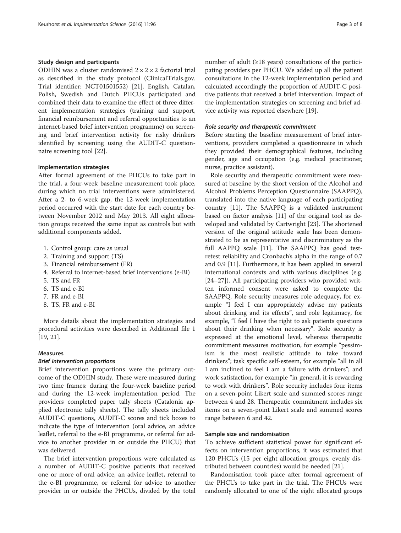## Study design and participants

ODHIN was a cluster randomised  $2 \times 2 \times 2$  factorial trial as described in the study protocol (ClinicalTrials.gov. Trial identifier: NCT01501552) [[21\]](#page-8-0). English, Catalan, Polish, Swedish and Dutch PHCUs participated and combined their data to examine the effect of three different implementation strategies (training and support, financial reimbursement and referral opportunities to an internet-based brief intervention programme) on screening and brief intervention activity for risky drinkers identified by screening using the AUDIT-C questionnaire screening tool [[22\]](#page-8-0).

#### Implementation strategies

After formal agreement of the PHCUs to take part in the trial, a four-week baseline measurement took place, during which no trial interventions were administered. After a 2- to 6-week gap, the 12-week implementation period occurred with the start date for each country between November 2012 and May 2013. All eight allocation groups received the same input as controls but with additional components added.

- 1. Control group: care as usual
- 2. Training and support (TS)
- 3. Financial reimbursement (FR)
- 4. Referral to internet-based brief interventions (e-BI)
- 5. TS and FR
- 6. TS and e-BI
- 7. FR and e-BI
- 8. TS, FR and e-BI

More details about the implementation strategies and procedural activities were described in Additional file [1](#page-7-0) [[19, 21\]](#page-8-0).

#### Measures

### Brief intervention proportions

Brief intervention proportions were the primary outcome of the ODHIN study. These were measured during two time frames: during the four-week baseline period and during the 12-week implementation period. The providers completed paper tally sheets (Catalonia applied electronic tally sheets). The tally sheets included AUDIT-C questions, AUDIT-C scores and tick boxes to indicate the type of intervention (oral advice, an advice leaflet, referral to the e-BI programme, or referral for advice to another provider in or outside the PHCU) that was delivered.

The brief intervention proportions were calculated as a number of AUDIT-C positive patients that received one or more of oral advice, an advice leaflet, referral to the e-BI programme, or referral for advice to another provider in or outside the PHCUs, divided by the total number of adult (≥18 years) consultations of the participating providers per PHCU. We added up all the patient consultations in the 12-week implementation period and calculated accordingly the proportion of AUDIT-C positive patients that received a brief intervention. Impact of the implementation strategies on screening and brief advice activity was reported elsewhere [\[19](#page-8-0)].

#### Role security and therapeutic commitment

Before starting the baseline measurement of brief interventions, providers completed a questionnaire in which they provided their demographical features, including gender, age and occupation (e.g. medical practitioner, nurse, practice assistant).

Role security and therapeutic commitment were measured at baseline by the short version of the Alcohol and Alcohol Problems Perception Questionnaire (SAAPPQ), translated into the native language of each participating country [[11\]](#page-8-0). The SAAPPQ is a validated instrument based on factor analysis [\[11](#page-8-0)] of the original tool as developed and validated by Cartwright [\[23](#page-8-0)]. The shortened version of the original attitude scale has been demonstrated to be as representative and discriminatory as the full AAPPQ scale [\[11\]](#page-8-0). The SAAPPQ has good testretest reliability and Cronbach's alpha in the range of 0.7 and 0.9 [[11](#page-8-0)]. Furthermore, it has been applied in several international contexts and with various disciplines (e.g. [[24](#page-8-0)–[27](#page-8-0)]). All participating providers who provided written informed consent were asked to complete the SAAPPQ. Role security measures role adequacy, for example "I feel I can appropriately advise my patients about drinking and its effects", and role legitimacy, for example, "I feel I have the right to ask patients questions about their drinking when necessary". Role security is expressed at the emotional level, whereas therapeutic commitment measures motivation, for example "pessimism is the most realistic attitude to take toward drinkers"; task specific self-esteem, for example "all in all I am inclined to feel I am a failure with drinkers"; and work satisfaction, for example "in general, it is rewarding to work with drinkers". Role security includes four items on a seven-point Likert scale and summed scores range between 4 and 28. Therapeutic commitment includes six items on a seven-point Likert scale and summed scores range between 6 and 42.

#### Sample size and randomisation

To achieve sufficient statistical power for significant effects on intervention proportions, it was estimated that 120 PHCUs (15 per eight allocation groups, evenly distributed between countries) would be needed [[21](#page-8-0)].

Randomisation took place after formal agreement of the PHCUs to take part in the trial. The PHCUs were randomly allocated to one of the eight allocated groups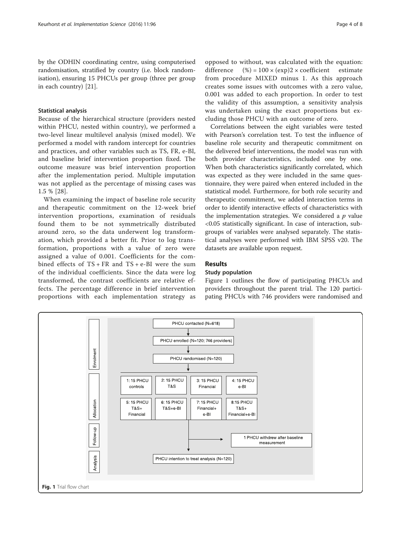by the ODHIN coordinating centre, using computerised randomisation, stratified by country (i.e. block randomisation), ensuring 15 PHCUs per group (three per group in each country) [[21\]](#page-8-0).

## Statistical analysis

Because of the hierarchical structure (providers nested within PHCU, nested within country), we performed a two-level linear multilevel analysis (mixed model). We performed a model with random intercept for countries and practices, and other variables such as TS, FR, e-BI, and baseline brief intervention proportion fixed. The outcome measure was brief intervention proportion after the implementation period. Multiple imputation was not applied as the percentage of missing cases was 1.5 % [[28](#page-8-0)].

When examining the impact of baseline role security and therapeutic commitment on the 12-week brief intervention proportions, examination of residuals found them to be not symmetrically distributed around zero, so the data underwent log transformation, which provided a better fit. Prior to log transformation, proportions with a value of zero were assigned a value of 0.001. Coefficients for the combined effects of  $TS + FR$  and  $TS + e-BI$  were the sum of the individual coefficients. Since the data were log transformed, the contrast coefficients are relative effects. The percentage difference in brief intervention proportions with each implementation strategy as

opposed to without, was calculated with the equation: difference  $(\%) = 100 \times (exp)2 \times coefficient$  estimate from procedure MIXED minus 1. As this approach creates some issues with outcomes with a zero value, 0.001 was added to each proportion. In order to test the validity of this assumption, a sensitivity analysis was undertaken using the exact proportions but excluding those PHCU with an outcome of zero.

Correlations between the eight variables were tested with Pearson's correlation test. To test the influence of baseline role security and therapeutic commitment on the delivered brief interventions, the model was run with both provider characteristics, included one by one. When both characteristics significantly correlated, which was expected as they were included in the same questionnaire, they were paired when entered included in the statistical model. Furthermore, for both role security and therapeutic commitment, we added interaction terms in order to identify interactive effects of characteristics with the implementation strategies. We considered a  $p$  value <0.05 statistically significant. In case of interaction, subgroups of variables were analysed separately. The statistical analyses were performed with IBM SPSS v20. The datasets are available upon request.

#### Results

#### Study population

Figure 1 outlines the flow of participating PHCUs and providers throughout the parent trial. The 120 participating PHCUs with 746 providers were randomised and

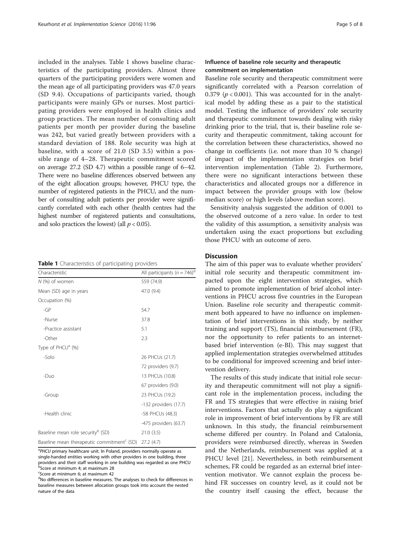included in the analyses. Table 1 shows baseline characteristics of the participating providers. Almost three quarters of the participating providers were women and the mean age of all participating providers was 47.0 years (SD 9.4). Occupations of participants varied, though participants were mainly GPs or nurses. Most participating providers were employed in health clinics and group practices. The mean number of consulting adult patients per month per provider during the baseline was 242, but varied greatly between providers with a standard deviation of 188. Role security was high at baseline, with a score of 21.0 (SD 3.5) within a possible range of 4–28. Therapeutic commitment scored on average 27.2 (SD 4.7) within a possible range of 6–42. There were no baseline differences observed between any of the eight allocation groups; however, PHCU type, the number of registered patients in the PHCU, and the number of consulting adult patients per provider were significantly correlated with each other (health centres had the highest number of registered patients and consultations, and solo practices the lowest) (all  $p < 0.05$ ).

Table 1 Characteristics of participating providers

| Characteristic                                         | All participants ( $n = 746$ ) <sup>d</sup> |  |
|--------------------------------------------------------|---------------------------------------------|--|
| N (%) of women                                         | 559 (74.9)                                  |  |
| Mean (SD) age in years                                 | 47.0 (9.4)                                  |  |
| Occupation (%)                                         |                                             |  |
| $-GP$                                                  | 54.7                                        |  |
| -Nurse                                                 | 37.8                                        |  |
| -Practice assistant                                    | 5.1                                         |  |
| -Other                                                 | 2.3                                         |  |
| Type of PHCU <sup>a</sup> (%)                          |                                             |  |
| -Solo                                                  | 26 PHCUs (21.7)                             |  |
|                                                        | 72 providers (9.7)                          |  |
| -Duo                                                   | 13 PHCUs (10.8)                             |  |
|                                                        | 67 providers (9.0)                          |  |
| -Group                                                 | 23 PHCUs (19.2)                             |  |
|                                                        | $-132$ providers $(17.7)$                   |  |
| -Health clinic                                         | -58 PHCUs (48.3)                            |  |
|                                                        | -475 providers (63.7)                       |  |
| Baseline mean role security <sup>b</sup> (SD)          | 21.0(3.5)                                   |  |
| Baseline mean therapeutic commitment <sup>c</sup> (SD) | 27.2(4.7)                                   |  |

<sup>a</sup>PHCU primary healthcare unit. In Poland, providers normally operate as single-handed entities working with other providers in one building, three providers and their staff working in one building was regarded as one PHCU<br><sup>b</sup>Score at minimum 4; at maximum 28

<sup>c</sup>Score at minimum 6; at maximum 42

<sup>d</sup>No differences in baseline measures. The analyses to check for differences in baseline measures between allocation groups took into account the nested nature of the data

## Influence of baseline role security and therapeutic commitment on implementation

Baseline role security and therapeutic commitment were significantly correlated with a Pearson correlation of 0.379 ( $p < 0.001$ ). This was accounted for in the analytical model by adding these as a pair to the statistical model. Testing the influence of providers' role security and therapeutic commitment towards dealing with risky drinking prior to the trial, that is, their baseline role security and therapeutic commitment, taking account for the correlation between these characteristics, showed no change in coefficients (i.e. not more than 10 % change) of impact of the implementation strategies on brief intervention implementation (Table [2\)](#page-6-0). Furthermore, there were no significant interactions between these characteristics and allocated groups nor a difference in impact between the provider groups with low (below median score) or high levels (above median score).

Sensitivity analysis suggested the addition of 0.001 to the observed outcome of a zero value. In order to test the validity of this assumption, a sensitivity analysis was undertaken using the exact proportions but excluding those PHCU with an outcome of zero.

#### **Discussion**

The aim of this paper was to evaluate whether providers' initial role security and therapeutic commitment impacted upon the eight intervention strategies, which aimed to promote implementation of brief alcohol interventions in PHCU across five countries in the European Union. Baseline role security and therapeutic commitment both appeared to have no influence on implementation of brief interventions in this study, by neither training and support (TS), financial reimbursement (FR), nor the opportunity to refer patients to an internetbased brief intervention (e-BI). This may suggest that applied implementation strategies overwhelmed attitudes to be conditional for improved screening and brief intervention delivery.

The results of this study indicate that initial role security and therapeutic commitment will not play a significant role in the implementation process, including the FR and TS strategies that were effective in raising brief interventions. Factors that actually do play a significant role in improvement of brief interventions by FR are still unknown. In this study, the financial reimbursement scheme differed per country. In Poland and Catalonia, providers were reimbursed directly, whereas in Sweden and the Netherlands, reimbursement was applied at a PHCU level [\[21](#page-8-0)]. Nevertheless, in both reimbursement schemes, FR could be regarded as an external brief intervention motivator. We cannot explain the process behind FR successes on country level, as it could not be the country itself causing the effect, because the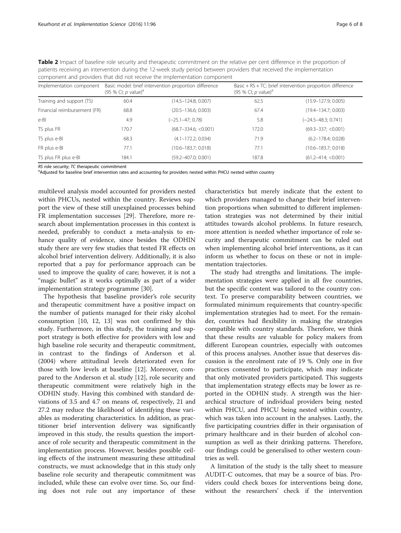| Implementation component     | Basic model: brief intervention proportion difference<br>(95 % CI; $p$ value) <sup>a</sup> |                           | Basic + $RS$ + TC: brief intervention proportion difference<br>(95 % CI; p value) <sup>a</sup> |                         |
|------------------------------|--------------------------------------------------------------------------------------------|---------------------------|------------------------------------------------------------------------------------------------|-------------------------|
| Training and support (TS)    | 60.4                                                                                       | $(14.5 - 124.8; 0.007)$   | 62.5                                                                                           | $(15.9 - 127.9; 0.005)$ |
| Financial reimbursement (FR) | 68.8                                                                                       | $(20.5 - 136.6; 0.003)$   | 67.4                                                                                           | $(19.4 - 134.7; 0.003)$ |
| $e-BI$                       | 4.9                                                                                        | $(-25.1 - 47; 0.78)$      | 5.8                                                                                            | $(-24.5 - 48.3; 0.741)$ |
| TS plus FR                   | 170.7                                                                                      | $(68.7 - 334.6; < 0.001)$ | 172.0                                                                                          | $(69.3 - 337; < 0.001)$ |
| TS plus e-BI                 | 68.3                                                                                       | $(4.1 - 172.2; 0.034)$    | 71.9                                                                                           | $(6.2 - 178.4; 0.028)$  |
| FR plus e-BI                 | 77.1                                                                                       | $(10.6 - 183.7; 0.018)$   | 77.1                                                                                           | $(10.6 - 183.7; 0.018)$ |
| TS plus FR plus e-BI         | 184.1                                                                                      | $(59.2 - 407.0; 0.001)$   | 187.8                                                                                          | $(61.2 - 414; < 0.001)$ |

<span id="page-6-0"></span>Table 2 Impact of baseline role security and therapeutic commitment on the relative per cent difference in the proportion of patients receiving an intervention during the 12-week study period between providers that received the implementation component and providers that did not receive the implementation component

RS role security; TC therapeutic commitment

aAdjusted for baseline brief intervention rates and accounting for providers nested within PHCU nested within country

multilevel analysis model accounted for providers nested within PHCUs, nested within the country. Reviews support the view of these still unexplained processes behind FR implementation successes [[29\]](#page-8-0). Therefore, more research about implementation processes in this context is needed, preferably to conduct a meta-analysis to enhance quality of evidence, since besides the ODHIN study there are very few studies that tested FR effects on alcohol brief intervention delivery. Additionally, it is also reported that a pay for performance approach can be used to improve the quality of care; however, it is not a "magic bullet" as it works optimally as part of a wider implementation strategy programme [[30](#page-8-0)].

The hypothesis that baseline provider's role security and therapeutic commitment have a positive impact on the number of patients managed for their risky alcohol consumption [\[10, 12, 13](#page-8-0)] was not confirmed by this study. Furthermore, in this study, the training and support strategy is both effective for providers with low and high baseline role security and therapeutic commitment, in contrast to the findings of Anderson et al. (2004) where attitudinal levels deteriorated even for those with low levels at baseline [[12\]](#page-8-0). Moreover, compared to the Anderson et al. study [[12\]](#page-8-0), role security and therapeutic commitment were relatively high in the ODHIN study. Having this combined with standard deviations of 3.5 and 4.7 on means of, respectively, 21 and 27.2 may reduce the likelihood of identifying these variables as moderating characteristics. In addition, as practitioner brief intervention delivery was significantly improved in this study, the results question the importance of role security and therapeutic commitment in the implementation process. However, besides possible ceiling effects of the instrument measuring these attitudinal constructs, we must acknowledge that in this study only baseline role security and therapeutic commitment was included, while these can evolve over time. So, our finding does not rule out any importance of these characteristics but merely indicate that the extent to which providers managed to change their brief intervention proportions when submitted to different implementation strategies was not determined by their initial attitudes towards alcohol problems. In future research, more attention is needed whether importance of role security and therapeutic commitment can be ruled out when implementing alcohol brief interventions, as it can inform us whether to focus on these or not in implementation trajectories.

The study had strengths and limitations. The implementation strategies were applied in all five countries, but the specific content was tailored to the country context. To preserve comparability between countries, we formulated minimum requirements that country-specific implementation strategies had to meet. For the remainder, countries had flexibility in making the strategies compatible with country standards. Therefore, we think that these results are valuable for policy makers from different European countries, especially with outcomes of this process analyses. Another issue that deserves discussion is the enrolment rate of 19 %. Only one in five practices consented to participate, which may indicate that only motivated providers participated. This suggests that implementation strategy effects may be lower as reported in the ODHIN study. A strength was the hierarchical structure of individual providers being nested within PHCU, and PHCU being nested within country, which was taken into account in the analyses. Lastly, the five participating countries differ in their organisation of primary healthcare and in their burden of alcohol consumption as well as their drinking patterns. Therefore, our findings could be generalised to other western countries as well.

A limitation of the study is the tally sheet to measure AUDIT-C outcomes, that may be a source of bias. Providers could check boxes for interventions being done, without the researchers' check if the intervention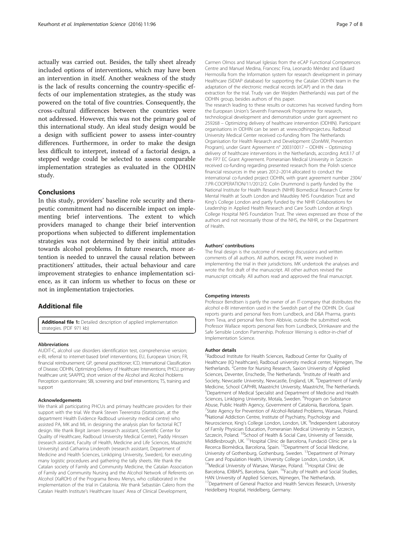<span id="page-7-0"></span>actually was carried out. Besides, the tally sheet already included options of interventions, which may have been an intervention in itself. Another weakness of the study is the lack of results concerning the country-specific effects of our implementation strategies, as the study was powered on the total of five countries. Consequently, the cross-cultural differences between the countries were not addressed. However, this was not the primary goal of this international study. An ideal study design would be a design with sufficient power to assess inter-country differences. Furthermore, in order to make the design less difficult to interpret, instead of a factorial design, a stepped wedge could be selected to assess comparable implementation strategies as evaluated in the ODHIN study.

## Conclusions

In this study, providers' baseline role security and therapeutic commitment had no discernible impact on implementing brief interventions. The extent to which providers managed to change their brief intervention proportions when subjected to different implementation strategies was not determined by their initial attitudes towards alcohol problems. In future research, more attention is needed to unravel the causal relation between practitioners' attitudes, their actual behaviour and care improvement strategies to enhance implementation science, as it can inform us whether to focus on these or not in implementation trajectories.

## Additional file

[Additional file 1:](dx.doi.org/10.1186/s13012-016-0468-5) Detailed description of applied implementation strategies. (PDF 971 kb)

#### Abbreviations

AUDIT-C, alcohol use disorders identification test, comprehensive version; e-BI, referral to internet-based brief interventions; EU, European Union; FR, financial reimbursement; GP, general practitioner; ICD, International Classification of Disease; ODHIN, Optimizing Delivery of Healthcare Interventions; PHCU, primary healthcare unit; SAAPPQ, short version of the Alcohol and Alcohol Problems Perception questionnaire; SBI, screening and brief interventions; TS, training and support

#### Acknowledgements

We thank all participating PHCUs and primary healthcare providers for their support with the trial. We thank Steven Teerenstra (Statistician, at the department Health Evidence Radboud university medical centre) who assisted PA, MK and ML in designing the analysis plan for factorial RCT design. We thank Birgit Jansen (research assistant, Scientific Center for Quality of Healthcare, Radboud University Medical Center), Paddy Hinssen (research assistant, Faculty of Health, Medicine and Life Sciences, Maastricht University) and Catharina Linderoth (research assistant, Department of Medicine and Health Sciences, Linköping University, Sweden), for executing many logistic procedures and gathering the tally sheets. We thank the Catalan society of Family and Community Medicine, the Catalan Association of Family and Community Nursing and the Alcohol Network of Referents on Alcohol (XaROH) of the Programa Beveu Menys, who collaborated in the implementation of the trial in Catalonia. We thank Sebastián Calero from the Catalan Health Institute's Healthcare Issues' Area of Clinical Development,

Carmen Olmos and Manuel Iglesias from the eCAP Functional Competences Centre and Manuel Medina, Francesc Fina, Leonardo Méndez and Eduard Hermosilla from the Information system for research development in primary Healthcare (SIDIAP database) for supporting the Catalan ODHIN team in the adaptation of the electronic medical records (eCAP) and in the data extraction for the trial. Trudy van der Weijden (Netherlands) was part of the ODHIN group, besides authors of this paper. The research leading to these results or outcomes has received funding from the European Union's Seventh Framework Programme for research, technological development and demonstration under grant agreement no 259268 – Optimizing delivery of healthcare intervention (ODHIN). Participant organisations in ODHIN can be seen at: [www.odhinproject.eu.](http://www.odhinproject.eu) Radboud University Medical Center received co-funding from The Netherlands Organisation for Health Research and Development (ZonMW, Prevention Program), under Grant Agreement n° 200310017 – ODHIN – Optimizing delivery of healthcare interventions in the Netherlands, according Art.II.17 of the FP7 EC Grant Agreement. Pomeranian Medical University in Szczecin received co-funding regarding presented research from the Polish science financial resources in the years 2012–2014 allocated to conduct the international co-funded project ODHIN, with grant agreement number 2304/ 7.PR-COOPERATION/11/2012/2. Colin Drummond is partly funded by the National Institute for Health Research (NIHR) Biomedical Research Centre for Mental Health at South London and Maudsley NHS Foundation Trust and King's College London and partly funded by the NIHR Collaborations for Leadership in Applied Health Research and Care South London at King's College Hospital NHS Foundation Trust. The views expressed are those of the authors and not necessarily those of the NHS, the NIHR, or the Department of Health.

#### Authors' contributions

The final design is the outcome of meeting discussions and written comments of all authors. All authors, except PA, were involved in implementing the trial in their jurisdictions. MK undertook the analyses and wrote the first draft of the manuscript. All other authors revised the manuscript critically. All authors read and approved the final manuscript.

#### Competing interests

Professor Bendtsen is partly the owner of an IT-company that distributes the alcohol e-BI intervention used in the Swedish part of the ODHIN. Dr. Gual reports grants and personal fees from Lundbeck, and D&A Pharma, grants from Teva, and personal fees from Abbivie, outside the submitted work. Professor Wallace reports personal fees from Lundbeck, Drinkaware and the Safe Sensible London Partnership. Professor Wensing is editor-in-chief of Implementation Science.

#### Author details

<sup>1</sup>Radboud Institute for Health Sciences, Radboud Center for Quality of Healthcare (IQ healthcare), Radboud university medical center, Nijmegen, The Netherlands. <sup>2</sup> Centre for Nursing Research, Saxion University of Applied Sciences, Deventer, Enschede, The Netherlands. <sup>3</sup>Institute of Health and Society, Newcastle University, Newcastle, England, UK. <sup>4</sup>Department of Family Medicine, School CAPHRI, Maastricht University, Maastricht, The Netherlands. 5 Department of Medical Specialist and Department of Medicine and Health Sciences, Linköping University, Motala, Sweden. <sup>6</sup>Program on Substance Abuse, Public Health Agency, Government of Catalonia, Barcelona, Spain. <sup>7</sup>State Agency for Prevention of Alcohol-Related Problems, Warsaw, Poland <sup>8</sup>National Addiction Centre, Institute of Psychiatry, Psychology and Neuroscience, King's College London, London, UK. <sup>9</sup>Independent Laboratory of Family Physician Education, Pomeranian Medical University in Szczecin, Szczecin, Poland. <sup>10</sup>School of Health & Social Care, University of Teesside, Middlesbrough, UK. <sup>11</sup>Hospital Clínic de Barcelona, Fundació Clínic per a la Recerca Biomèdica, Barcelona, Spain. 12Department of Social Medicine, University of Gothenburg, Gothenburg, Sweden. 13Department of Primary Care and Population Health, University College London, London, UK. <sup>14</sup>Medical University of Warsaw, Warsaw, Poland. <sup>15</sup>Hospital Clínic de Barcelona, IDIBAPS, Barcelona, Spain. <sup>16</sup>Faculty of Health and Social Studies, HAN University of Applied Sciences, Nijmegen, The Netherlands. <sup>17</sup>Department of General Practice and Health Services Research, University Heidelberg Hospital, Heidelberg, Germany.